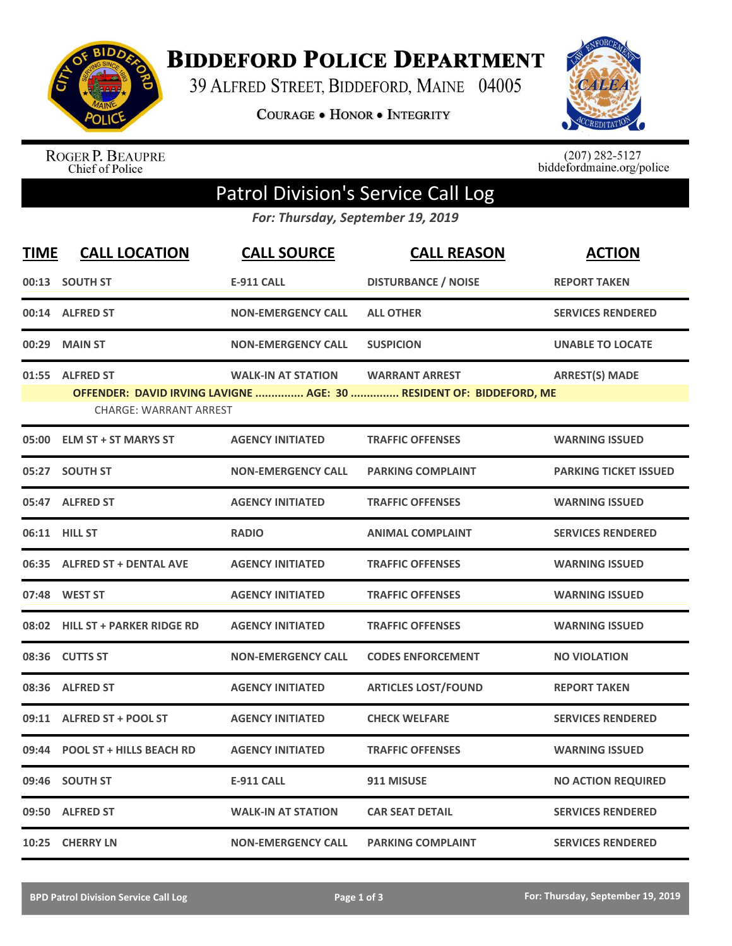

**BIDDEFORD POLICE DEPARTMENT** 

39 ALFRED STREET, BIDDEFORD, MAINE 04005

**COURAGE . HONOR . INTEGRITY** 



ROGER P. BEAUPRE<br>Chief of Police

 $(207)$  282-5127<br>biddefordmaine.org/police

## Patrol Division's Service Call Log

*For: Thursday, September 19, 2019*

| <b>TIME</b> | <b>CALL LOCATION</b>                              | <b>CALL SOURCE</b>        | <b>CALL REASON</b>                                                                           | <b>ACTION</b>                |
|-------------|---------------------------------------------------|---------------------------|----------------------------------------------------------------------------------------------|------------------------------|
|             | 00:13 SOUTH ST                                    | <b>E-911 CALL</b>         | <b>DISTURBANCE / NOISE</b>                                                                   | <b>REPORT TAKEN</b>          |
|             | 00:14 ALFRED ST                                   | <b>NON-EMERGENCY CALL</b> | <b>ALL OTHER</b>                                                                             | <b>SERVICES RENDERED</b>     |
| 00:29       | <b>MAIN ST</b>                                    | <b>NON-EMERGENCY CALL</b> | <b>SUSPICION</b>                                                                             | <b>UNABLE TO LOCATE</b>      |
| 01:55       | <b>ALFRED ST</b><br><b>CHARGE: WARRANT ARREST</b> | <b>WALK-IN AT STATION</b> | <b>WARRANT ARREST</b><br>OFFENDER: DAVID IRVING LAVIGNE  AGE: 30  RESIDENT OF: BIDDEFORD, ME | <b>ARREST(S) MADE</b>        |
|             | 05:00 ELM ST + ST MARYS ST                        | <b>AGENCY INITIATED</b>   | <b>TRAFFIC OFFENSES</b>                                                                      | <b>WARNING ISSUED</b>        |
| 05:27       | <b>SOUTH ST</b>                                   | <b>NON-EMERGENCY CALL</b> | <b>PARKING COMPLAINT</b>                                                                     | <b>PARKING TICKET ISSUED</b> |
|             | 05:47 ALFRED ST                                   | <b>AGENCY INITIATED</b>   | <b>TRAFFIC OFFENSES</b>                                                                      | <b>WARNING ISSUED</b>        |
|             | 06:11 HILL ST                                     | <b>RADIO</b>              | <b>ANIMAL COMPLAINT</b>                                                                      | <b>SERVICES RENDERED</b>     |
|             | 06:35 ALFRED ST + DENTAL AVE                      | <b>AGENCY INITIATED</b>   | <b>TRAFFIC OFFENSES</b>                                                                      | <b>WARNING ISSUED</b>        |
|             | 07:48 WEST ST                                     | <b>AGENCY INITIATED</b>   | <b>TRAFFIC OFFENSES</b>                                                                      | <b>WARNING ISSUED</b>        |
|             | 08:02 HILL ST + PARKER RIDGE RD                   | <b>AGENCY INITIATED</b>   | <b>TRAFFIC OFFENSES</b>                                                                      | <b>WARNING ISSUED</b>        |
|             | 08:36 CUTTS ST                                    | <b>NON-EMERGENCY CALL</b> | <b>CODES ENFORCEMENT</b>                                                                     | <b>NO VIOLATION</b>          |
| 08:36       | <b>ALFRED ST</b>                                  | <b>AGENCY INITIATED</b>   | <b>ARTICLES LOST/FOUND</b>                                                                   | <b>REPORT TAKEN</b>          |
| 09:11       | <b>ALFRED ST + POOL ST</b>                        | <b>AGENCY INITIATED</b>   | <b>CHECK WELFARE</b>                                                                         | <b>SERVICES RENDERED</b>     |
| 09:44       | <b>POOL ST + HILLS BEACH RD</b>                   | <b>AGENCY INITIATED</b>   | <b>TRAFFIC OFFENSES</b>                                                                      | <b>WARNING ISSUED</b>        |
| 09:46       | <b>SOUTH ST</b>                                   | <b>E-911 CALL</b>         | 911 MISUSE                                                                                   | <b>NO ACTION REQUIRED</b>    |
| 09:50       | <b>ALFRED ST</b>                                  | <b>WALK-IN AT STATION</b> | <b>CAR SEAT DETAIL</b>                                                                       | <b>SERVICES RENDERED</b>     |
|             | 10:25 CHERRY LN                                   | <b>NON-EMERGENCY CALL</b> | <b>PARKING COMPLAINT</b>                                                                     | <b>SERVICES RENDERED</b>     |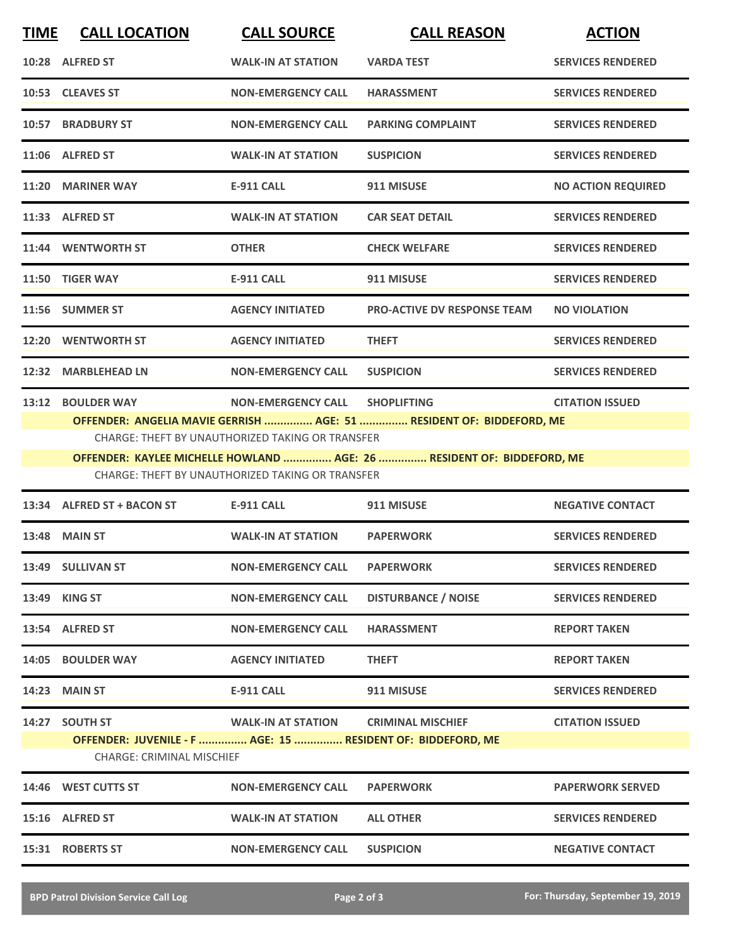| <b>TIME</b> | <b>CALL LOCATION</b>                                                                                                                                                                                                                                                                                                                                     | <b>CALL SOURCE</b>        | <b>CALL REASON</b>                 | <b>ACTION</b>             |  |  |
|-------------|----------------------------------------------------------------------------------------------------------------------------------------------------------------------------------------------------------------------------------------------------------------------------------------------------------------------------------------------------------|---------------------------|------------------------------------|---------------------------|--|--|
|             | 10:28 ALFRED ST                                                                                                                                                                                                                                                                                                                                          | <b>WALK-IN AT STATION</b> | <b>VARDA TEST</b>                  | <b>SERVICES RENDERED</b>  |  |  |
|             | 10:53 CLEAVES ST                                                                                                                                                                                                                                                                                                                                         | <b>NON-EMERGENCY CALL</b> | <b>HARASSMENT</b>                  | <b>SERVICES RENDERED</b>  |  |  |
|             | 10:57 BRADBURY ST                                                                                                                                                                                                                                                                                                                                        | <b>NON-EMERGENCY CALL</b> | <b>PARKING COMPLAINT</b>           | <b>SERVICES RENDERED</b>  |  |  |
|             | 11:06 ALFRED ST                                                                                                                                                                                                                                                                                                                                          | <b>WALK-IN AT STATION</b> | <b>SUSPICION</b>                   | <b>SERVICES RENDERED</b>  |  |  |
|             | 11:20 MARINER WAY                                                                                                                                                                                                                                                                                                                                        | <b>E-911 CALL</b>         | 911 MISUSE                         | <b>NO ACTION REQUIRED</b> |  |  |
|             | 11:33 ALFRED ST                                                                                                                                                                                                                                                                                                                                          | <b>WALK-IN AT STATION</b> | <b>CAR SEAT DETAIL</b>             | <b>SERVICES RENDERED</b>  |  |  |
|             | 11:44 WENTWORTH ST                                                                                                                                                                                                                                                                                                                                       | <b>OTHER</b>              | <b>CHECK WELFARE</b>               | <b>SERVICES RENDERED</b>  |  |  |
|             | 11:50 TIGER WAY                                                                                                                                                                                                                                                                                                                                          | <b>E-911 CALL</b>         | 911 MISUSE                         | <b>SERVICES RENDERED</b>  |  |  |
|             | 11:56 SUMMER ST                                                                                                                                                                                                                                                                                                                                          | <b>AGENCY INITIATED</b>   | <b>PRO-ACTIVE DV RESPONSE TEAM</b> | <b>NO VIOLATION</b>       |  |  |
|             | 12:20 WENTWORTH ST                                                                                                                                                                                                                                                                                                                                       | <b>AGENCY INITIATED</b>   | <b>THEFT</b>                       | <b>SERVICES RENDERED</b>  |  |  |
|             | 12:32 MARBLEHEAD LN                                                                                                                                                                                                                                                                                                                                      | <b>NON-EMERGENCY CALL</b> | <b>SUSPICION</b>                   | <b>SERVICES RENDERED</b>  |  |  |
|             | 13:12 BOULDER WAY<br><b>NON-EMERGENCY CALL</b><br><b>SHOPLIFTING</b><br><b>CITATION ISSUED</b><br>OFFENDER: ANGELIA MAVIE GERRISH  AGE: 51  RESIDENT OF: BIDDEFORD, ME<br>CHARGE: THEFT BY UNAUTHORIZED TAKING OR TRANSFER<br>OFFENDER: KAYLEE MICHELLE HOWLAND  AGE: 26  RESIDENT OF: BIDDEFORD, ME<br>CHARGE: THEFT BY UNAUTHORIZED TAKING OR TRANSFER |                           |                                    |                           |  |  |
|             |                                                                                                                                                                                                                                                                                                                                                          |                           |                                    |                           |  |  |
|             | 13:34 ALFRED ST + BACON ST                                                                                                                                                                                                                                                                                                                               | <b>E-911 CALL</b>         | 911 MISUSE                         | <b>NEGATIVE CONTACT</b>   |  |  |
|             | 13:48 MAIN ST                                                                                                                                                                                                                                                                                                                                            | <b>WALK-IN AT STATION</b> | <b>PAPERWORK</b>                   | <b>SERVICES RENDERED</b>  |  |  |
|             | 13:49 SULLIVAN ST                                                                                                                                                                                                                                                                                                                                        | <b>NON-EMERGENCY CALL</b> | <b>PAPERWORK</b>                   | <b>SERVICES RENDERED</b>  |  |  |
|             | 13:49 KING ST                                                                                                                                                                                                                                                                                                                                            | <b>NON-EMERGENCY CALL</b> | <b>DISTURBANCE / NOISE</b>         | <b>SERVICES RENDERED</b>  |  |  |
|             | 13:54 ALFRED ST                                                                                                                                                                                                                                                                                                                                          | <b>NON-EMERGENCY CALL</b> | <b>HARASSMENT</b>                  | <b>REPORT TAKEN</b>       |  |  |
|             | 14:05 BOULDER WAY                                                                                                                                                                                                                                                                                                                                        | <b>AGENCY INITIATED</b>   | <b>THEFT</b>                       | <b>REPORT TAKEN</b>       |  |  |
|             | 14:23 MAIN ST                                                                                                                                                                                                                                                                                                                                            | <b>E-911 CALL</b>         | 911 MISUSE                         | <b>SERVICES RENDERED</b>  |  |  |
|             | 14:27 SOUTH ST<br>OFFENDER: JUVENILE - F  AGE: 15  RESIDENT OF: BIDDEFORD, ME<br><b>CHARGE: CRIMINAL MISCHIEF</b>                                                                                                                                                                                                                                        | <b>WALK-IN AT STATION</b> | <b>CRIMINAL MISCHIEF</b>           | <b>CITATION ISSUED</b>    |  |  |
|             | 14:46 WEST CUTTS ST                                                                                                                                                                                                                                                                                                                                      | <b>NON-EMERGENCY CALL</b> | <b>PAPERWORK</b>                   | <b>PAPERWORK SERVED</b>   |  |  |
|             | 15:16 ALFRED ST                                                                                                                                                                                                                                                                                                                                          | <b>WALK-IN AT STATION</b> | <b>ALL OTHER</b>                   | <b>SERVICES RENDERED</b>  |  |  |